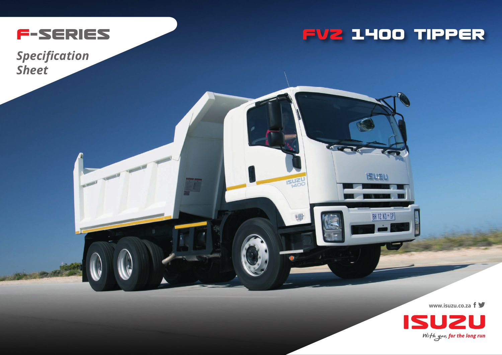

**FVZ 14OO TIPPER**

**ISUE** 

**SU20** 

**NATER AL.** 

BH 12 KD + GP

*Specification Sheet*

**www.isuzu.co.za**